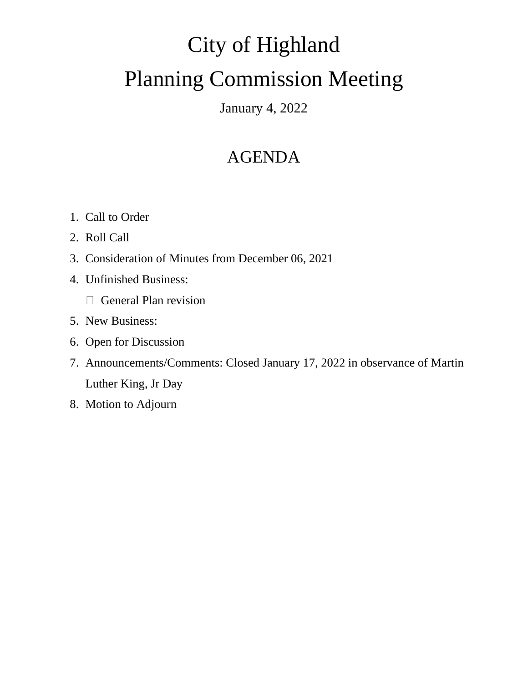# City of Highland Planning Commission Meeting

January 4, 2022

# AGENDA

- 1. Call to Order
- 2. Roll Call
- 3. Consideration of Minutes from December 06, 2021
- 4. Unfinished Business:
	- $\Box$  General Plan revision
- 5. New Business:
- 6. Open for Discussion
- 7. Announcements/Comments: Closed January 17, 2022 in observance of Martin Luther King, Jr Day
- 8. Motion to Adjourn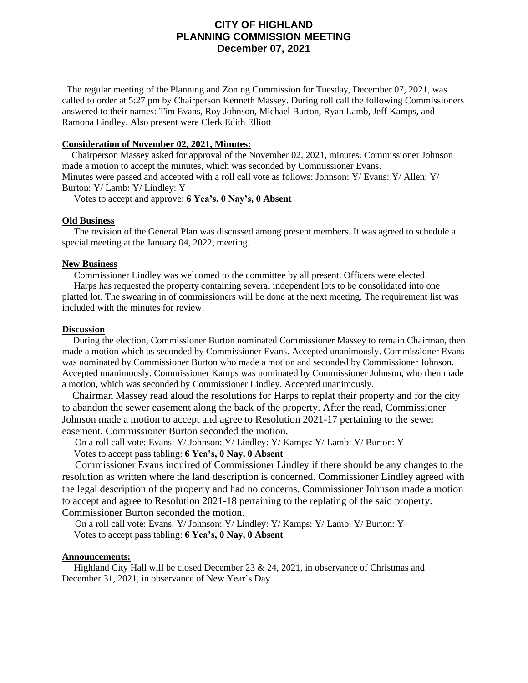## **CITY OF HIGHLAND PLANNING COMMISSION MEETING December 07, 2021**

 The regular meeting of the Planning and Zoning Commission for Tuesday, December 07, 2021, was called to order at 5:27 pm by Chairperson Kenneth Massey. During roll call the following Commissioners answered to their names: Tim Evans, Roy Johnson, Michael Burton, Ryan Lamb, Jeff Kamps, and Ramona Lindley. Also present were Clerk Edith Elliott

### **Consideration of November 02, 2021, Minutes:**

 Chairperson Massey asked for approval of the November 02, 2021, minutes. Commissioner Johnson made a motion to accept the minutes, which was seconded by Commissioner Evans. Minutes were passed and accepted with a roll call vote as follows: Johnson: Y/ Evans: Y/ Allen: Y/ Burton: Y/ Lamb: Y/ Lindley: Y

Votes to accept and approve: **6 Yea's, 0 Nay's, 0 Absent**

#### **Old Business**

 The revision of the General Plan was discussed among present members. It was agreed to schedule a special meeting at the January 04, 2022, meeting.

#### **New Business**

 Commissioner Lindley was welcomed to the committee by all present. Officers were elected. Harps has requested the property containing several independent lots to be consolidated into one platted lot. The swearing in of commissioners will be done at the next meeting. The requirement list was included with the minutes for review.

#### **Discussion**

 During the election, Commissioner Burton nominated Commissioner Massey to remain Chairman, then made a motion which as seconded by Commissioner Evans. Accepted unanimously. Commissioner Evans was nominated by Commissioner Burton who made a motion and seconded by Commissioner Johnson. Accepted unanimously. Commissioner Kamps was nominated by Commissioner Johnson, who then made a motion, which was seconded by Commissioner Lindley. Accepted unanimously.

 Chairman Massey read aloud the resolutions for Harps to replat their property and for the city to abandon the sewer easement along the back of the property. After the read, Commissioner Johnson made a motion to accept and agree to Resolution 2021-17 pertaining to the sewer easement. Commissioner Burton seconded the motion.

On a roll call vote: Evans: Y/ Johnson: Y/ Lindley: Y/ Kamps: Y/ Lamb: Y/ Burton: Y

Votes to accept pass tabling: **6 Yea's, 0 Nay, 0 Absent**

 Commissioner Evans inquired of Commissioner Lindley if there should be any changes to the resolution as written where the land description is concerned. Commissioner Lindley agreed with the legal description of the property and had no concerns. Commissioner Johnson made a motion to accept and agree to Resolution 2021-18 pertaining to the replating of the said property. Commissioner Burton seconded the motion.

 On a roll call vote: Evans: Y/ Johnson: Y/ Lindley: Y/ Kamps: Y/ Lamb: Y/ Burton: Y Votes to accept pass tabling: **6 Yea's, 0 Nay, 0 Absent**

#### **Announcements:**

Highland City Hall will be closed December 23  $\&$  24, 2021, in observance of Christmas and December 31, 2021, in observance of New Year's Day.